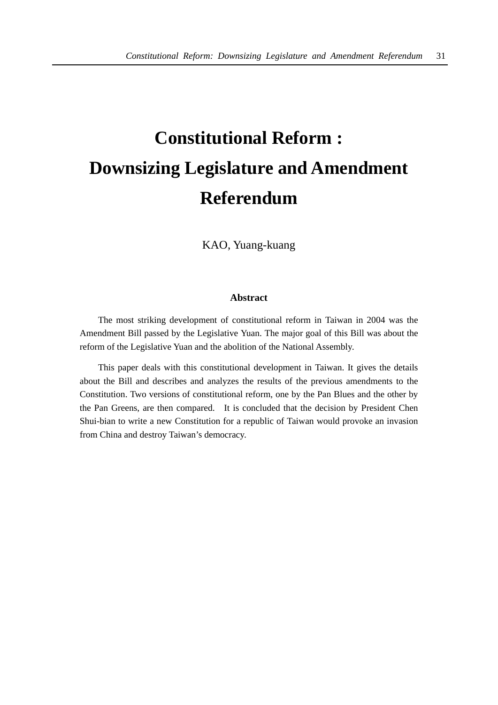# **Constitutional Reform : Downsizing Legislature and Amendment Referendum**

KAO, Yuang-kuang

## **Abstract**

The most striking development of constitutional reform in Taiwan in 2004 was the Amendment Bill passed by the Legislative Yuan. The major goal of this Bill was about the reform of the Legislative Yuan and the abolition of the National Assembly.

This paper deals with this constitutional development in Taiwan. It gives the details about the Bill and describes and analyzes the results of the previous amendments to the Constitution. Two versions of constitutional reform, one by the Pan Blues and the other by the Pan Greens, are then compared. It is concluded that the decision by President Chen Shui-bian to write a new Constitution for a republic of Taiwan would provoke an invasion from China and destroy Taiwan's democracy.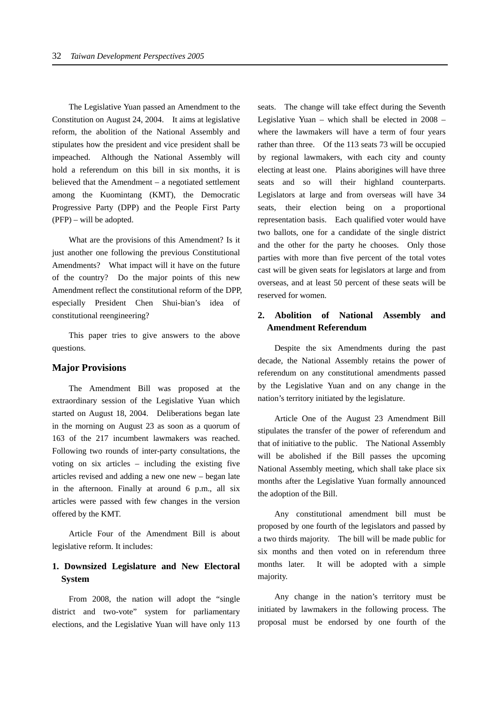The Legislative Yuan passed an Amendment to the Constitution on August 24, 2004. It aims at legislative reform, the abolition of the National Assembly and stipulates how the president and vice president shall be impeached. Although the National Assembly will hold a referendum on this bill in six months, it is believed that the Amendment – a negotiated settlement among the Kuomintang (KMT), the Democratic Progressive Party (DPP) and the People First Party (PFP) – will be adopted.

What are the provisions of this Amendment? Is it just another one following the previous Constitutional Amendments? What impact will it have on the future of the country? Do the major points of this new Amendment reflect the constitutional reform of the DPP, especially President Chen Shui-bian's idea of constitutional reengineering?

This paper tries to give answers to the above questions.

#### **Major Provisions**

The Amendment Bill was proposed at the extraordinary session of the Legislative Yuan which started on August 18, 2004. Deliberations began late in the morning on August 23 as soon as a quorum of 163 of the 217 incumbent lawmakers was reached. Following two rounds of inter-party consultations, the voting on six articles – including the existing five articles revised and adding a new one new – began late in the afternoon. Finally at around 6 p.m., all six articles were passed with few changes in the version offered by the KMT.

Article Four of the Amendment Bill is about legislative reform. It includes:

# **1. Downsized Legislature and New Electoral System**

From 2008, the nation will adopt the "single district and two-vote" system for parliamentary elections, and the Legislative Yuan will have only 113 seats. The change will take effect during the Seventh Legislative Yuan – which shall be elected in 2008 – where the lawmakers will have a term of four years rather than three. Of the 113 seats 73 will be occupied by regional lawmakers, with each city and county electing at least one. Plains aborigines will have three seats and so will their highland counterparts. Legislators at large and from overseas will have 34 seats, their election being on a proportional representation basis. Each qualified voter would have two ballots, one for a candidate of the single district and the other for the party he chooses. Only those parties with more than five percent of the total votes cast will be given seats for legislators at large and from overseas, and at least 50 percent of these seats will be reserved for women.

# **2. Abolition of National Assembly and Amendment Referendum**

Despite the six Amendments during the past decade, the National Assembly retains the power of referendum on any constitutional amendments passed by the Legislative Yuan and on any change in the nation's territory initiated by the legislature.

Article One of the August 23 Amendment Bill stipulates the transfer of the power of referendum and that of initiative to the public. The National Assembly will be abolished if the Bill passes the upcoming National Assembly meeting, which shall take place six months after the Legislative Yuan formally announced the adoption of the Bill.

Any constitutional amendment bill must be proposed by one fourth of the legislators and passed by a two thirds majority. The bill will be made public for six months and then voted on in referendum three months later. It will be adopted with a simple majority.

Any change in the nation's territory must be initiated by lawmakers in the following process. The proposal must be endorsed by one fourth of the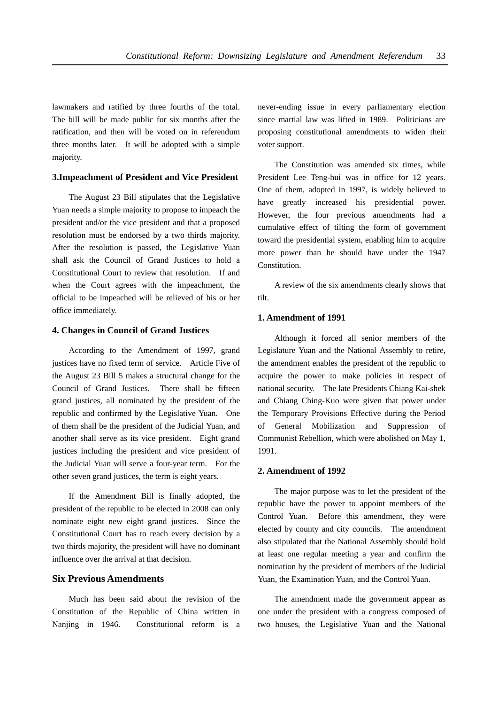lawmakers and ratified by three fourths of the total. The bill will be made public for six months after the ratification, and then will be voted on in referendum three months later. It will be adopted with a simple majority.

#### **3.Impeachment of President and Vice President**

The August 23 Bill stipulates that the Legislative Yuan needs a simple majority to propose to impeach the president and/or the vice president and that a proposed resolution must be endorsed by a two thirds majority. After the resolution is passed, the Legislative Yuan shall ask the Council of Grand Justices to hold a Constitutional Court to review that resolution. If and when the Court agrees with the impeachment, the official to be impeached will be relieved of his or her office immediately.

#### **4. Changes in Council of Grand Justices**

According to the Amendment of 1997, grand justices have no fixed term of service. Article Five of the August 23 Bill 5 makes a structural change for the Council of Grand Justices. There shall be fifteen grand justices, all nominated by the president of the republic and confirmed by the Legislative Yuan. One of them shall be the president of the Judicial Yuan, and another shall serve as its vice president. Eight grand justices including the president and vice president of the Judicial Yuan will serve a four-year term. For the other seven grand justices, the term is eight years.

If the Amendment Bill is finally adopted, the president of the republic to be elected in 2008 can only nominate eight new eight grand justices. Since the Constitutional Court has to reach every decision by a two thirds majority, the president will have no dominant influence over the arrival at that decision.

## **Six Previous Amendments**

Much has been said about the revision of the Constitution of the Republic of China written in Nanjing in 1946. Constitutional reform is a never-ending issue in every parliamentary election since martial law was lifted in 1989. Politicians are proposing constitutional amendments to widen their voter support.

The Constitution was amended six times, while President Lee Teng-hui was in office for 12 years. One of them, adopted in 1997, is widely believed to have greatly increased his presidential power. However, the four previous amendments had a cumulative effect of tilting the form of government toward the presidential system, enabling him to acquire more power than he should have under the 1947 Constitution.

A review of the six amendments clearly shows that tilt.

#### **1. Amendment of 1991**

Although it forced all senior members of the Legislature Yuan and the National Assembly to retire, the amendment enables the president of the republic to acquire the power to make policies in respect of national security. The late Presidents Chiang Kai-shek and Chiang Ching-Kuo were given that power under the Temporary Provisions Effective during the Period of General Mobilization and Suppression of Communist Rebellion, which were abolished on May 1, 1991.

#### **2. Amendment of 1992**

The major purpose was to let the president of the republic have the power to appoint members of the Control Yuan. Before this amendment, they were elected by county and city councils. The amendment also stipulated that the National Assembly should hold at least one regular meeting a year and confirm the nomination by the president of members of the Judicial Yuan, the Examination Yuan, and the Control Yuan.

The amendment made the government appear as one under the president with a congress composed of two houses, the Legislative Yuan and the National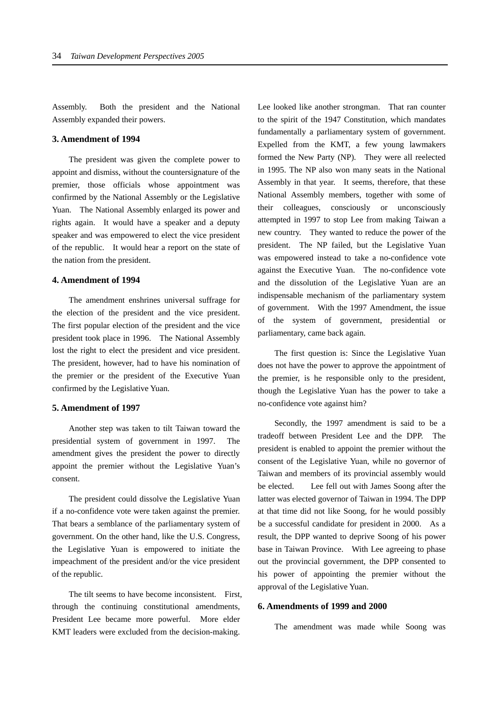Assembly. Both the president and the National Assembly expanded their powers.

#### **3. Amendment of 1994**

The president was given the complete power to appoint and dismiss, without the countersignature of the premier, those officials whose appointment was confirmed by the National Assembly or the Legislative Yuan. The National Assembly enlarged its power and rights again. It would have a speaker and a deputy speaker and was empowered to elect the vice president of the republic. It would hear a report on the state of the nation from the president.

## **4. Amendment of 1994**

The amendment enshrines universal suffrage for the election of the president and the vice president. The first popular election of the president and the vice president took place in 1996. The National Assembly lost the right to elect the president and vice president. The president, however, had to have his nomination of the premier or the president of the Executive Yuan confirmed by the Legislative Yuan.

#### **5. Amendment of 1997**

Another step was taken to tilt Taiwan toward the presidential system of government in 1997. The amendment gives the president the power to directly appoint the premier without the Legislative Yuan's consent.

The president could dissolve the Legislative Yuan if a no-confidence vote were taken against the premier. That bears a semblance of the parliamentary system of government. On the other hand, like the U.S. Congress, the Legislative Yuan is empowered to initiate the impeachment of the president and/or the vice president of the republic.

The tilt seems to have become inconsistent. First, through the continuing constitutional amendments, President Lee became more powerful. More elder KMT leaders were excluded from the decision-making.

Lee looked like another strongman. That ran counter to the spirit of the 1947 Constitution, which mandates fundamentally a parliamentary system of government. Expelled from the KMT, a few young lawmakers formed the New Party (NP). They were all reelected in 1995. The NP also won many seats in the National Assembly in that year. It seems, therefore, that these National Assembly members, together with some of their colleagues, consciously or unconsciously attempted in 1997 to stop Lee from making Taiwan a new country. They wanted to reduce the power of the president. The NP failed, but the Legislative Yuan was empowered instead to take a no-confidence vote against the Executive Yuan. The no-confidence vote and the dissolution of the Legislative Yuan are an indispensable mechanism of the parliamentary system of government. With the 1997 Amendment, the issue of the system of government, presidential or parliamentary, came back again.

The first question is: Since the Legislative Yuan does not have the power to approve the appointment of the premier, is he responsible only to the president, though the Legislative Yuan has the power to take a no-confidence vote against him?

Secondly, the 1997 amendment is said to be a tradeoff between President Lee and the DPP. The president is enabled to appoint the premier without the consent of the Legislative Yuan, while no governor of Taiwan and members of its provincial assembly would be elected. Lee fell out with James Soong after the latter was elected governor of Taiwan in 1994. The DPP at that time did not like Soong, for he would possibly be a successful candidate for president in 2000. As a result, the DPP wanted to deprive Soong of his power base in Taiwan Province. With Lee agreeing to phase out the provincial government, the DPP consented to his power of appointing the premier without the approval of the Legislative Yuan.

#### **6. Amendments of 1999 and 2000**

The amendment was made while Soong was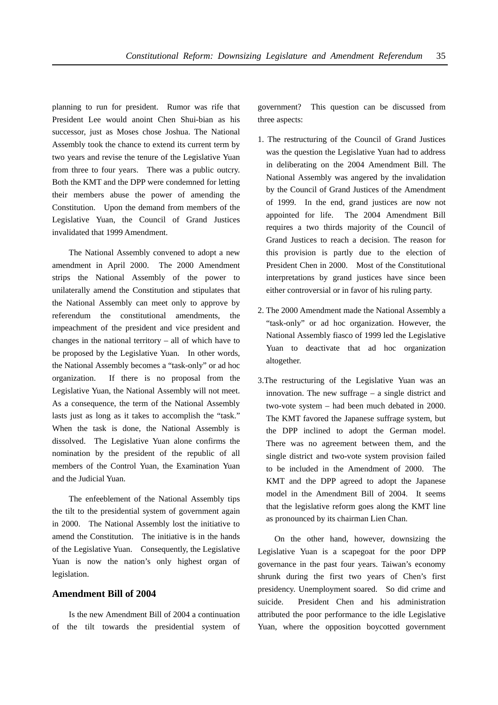planning to run for president. Rumor was rife that President Lee would anoint Chen Shui-bian as his successor, just as Moses chose Joshua. The National Assembly took the chance to extend its current term by two years and revise the tenure of the Legislative Yuan from three to four years. There was a public outcry. Both the KMT and the DPP were condemned for letting their members abuse the power of amending the Constitution. Upon the demand from members of the Legislative Yuan, the Council of Grand Justices invalidated that 1999 Amendment.

The National Assembly convened to adopt a new amendment in April 2000. The 2000 Amendment strips the National Assembly of the power to unilaterally amend the Constitution and stipulates that the National Assembly can meet only to approve by referendum the constitutional amendments, the impeachment of the president and vice president and changes in the national territory – all of which have to be proposed by the Legislative Yuan. In other words, the National Assembly becomes a "task-only" or ad hoc organization. If there is no proposal from the Legislative Yuan, the National Assembly will not meet. As a consequence, the term of the National Assembly lasts just as long as it takes to accomplish the "task." When the task is done, the National Assembly is dissolved. The Legislative Yuan alone confirms the nomination by the president of the republic of all members of the Control Yuan, the Examination Yuan and the Judicial Yuan.

The enfeeblement of the National Assembly tips the tilt to the presidential system of government again in 2000. The National Assembly lost the initiative to amend the Constitution. The initiative is in the hands of the Legislative Yuan. Consequently, the Legislative Yuan is now the nation's only highest organ of legislation.

## **Amendment Bill of 2004**

Is the new Amendment Bill of 2004 a continuation of the tilt towards the presidential system of government? This question can be discussed from three aspects:

- 1. The restructuring of the Council of Grand Justices was the question the Legislative Yuan had to address in deliberating on the 2004 Amendment Bill. The National Assembly was angered by the invalidation by the Council of Grand Justices of the Amendment of 1999. In the end, grand justices are now not appointed for life. The 2004 Amendment Bill requires a two thirds majority of the Council of Grand Justices to reach a decision. The reason for this provision is partly due to the election of President Chen in 2000. Most of the Constitutional interpretations by grand justices have since been either controversial or in favor of his ruling party.
- 2. The 2000 Amendment made the National Assembly a "task-only" or ad hoc organization. However, the National Assembly fiasco of 1999 led the Legislative Yuan to deactivate that ad hoc organization altogether.
- 3.The restructuring of the Legislative Yuan was an innovation. The new suffrage – a single district and two-vote system – had been much debated in 2000. The KMT favored the Japanese suffrage system, but the DPP inclined to adopt the German model. There was no agreement between them, and the single district and two-vote system provision failed to be included in the Amendment of 2000. The KMT and the DPP agreed to adopt the Japanese model in the Amendment Bill of 2004. It seems that the legislative reform goes along the KMT line as pronounced by its chairman Lien Chan.

On the other hand, however, downsizing the Legislative Yuan is a scapegoat for the poor DPP governance in the past four years. Taiwan's economy shrunk during the first two years of Chen's first presidency. Unemployment soared. So did crime and suicide. President Chen and his administration attributed the poor performance to the idle Legislative Yuan, where the opposition boycotted government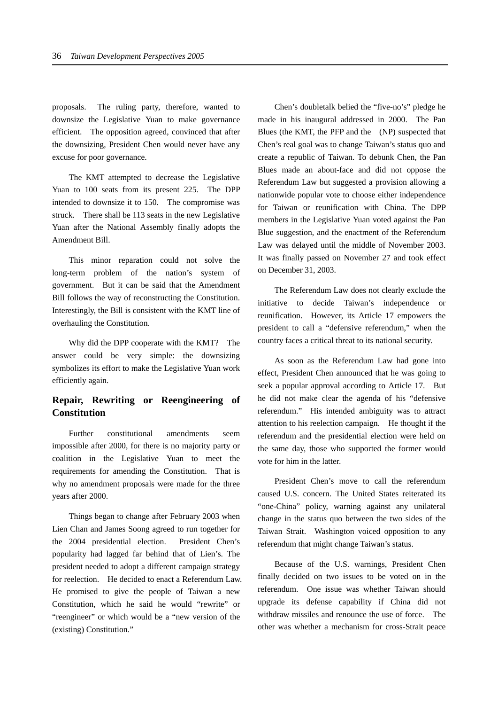proposals. The ruling party, therefore, wanted to downsize the Legislative Yuan to make governance efficient. The opposition agreed, convinced that after the downsizing, President Chen would never have any excuse for poor governance.

The KMT attempted to decrease the Legislative Yuan to 100 seats from its present 225. The DPP intended to downsize it to 150. The compromise was struck. There shall be 113 seats in the new Legislative Yuan after the National Assembly finally adopts the Amendment Bill.

This minor reparation could not solve the long-term problem of the nation's system of government. But it can be said that the Amendment Bill follows the way of reconstructing the Constitution. Interestingly, the Bill is consistent with the KMT line of overhauling the Constitution.

Why did the DPP cooperate with the KMT? The answer could be very simple: the downsizing symbolizes its effort to make the Legislative Yuan work efficiently again.

# **Repair, Rewriting or Reengineering of Constitution**

Further constitutional amendments seem impossible after 2000, for there is no majority party or coalition in the Legislative Yuan to meet the requirements for amending the Constitution. That is why no amendment proposals were made for the three years after 2000.

Things began to change after February 2003 when Lien Chan and James Soong agreed to run together for the 2004 presidential election. President Chen's popularity had lagged far behind that of Lien's. The president needed to adopt a different campaign strategy for reelection. He decided to enact a Referendum Law. He promised to give the people of Taiwan a new Constitution, which he said he would "rewrite" or "reengineer" or which would be a "new version of the (existing) Constitution."

Chen's doubletalk belied the "five-no's" pledge he made in his inaugural addressed in 2000. The Pan Blues (the KMT, the PFP and the (NP) suspected that Chen's real goal was to change Taiwan's status quo and create a republic of Taiwan. To debunk Chen, the Pan Blues made an about-face and did not oppose the Referendum Law but suggested a provision allowing a nationwide popular vote to choose either independence for Taiwan or reunification with China. The DPP members in the Legislative Yuan voted against the Pan Blue suggestion, and the enactment of the Referendum Law was delayed until the middle of November 2003. It was finally passed on November 27 and took effect on December 31, 2003.

The Referendum Law does not clearly exclude the initiative to decide Taiwan's independence or reunification. However, its Article 17 empowers the president to call a "defensive referendum," when the country faces a critical threat to its national security.

As soon as the Referendum Law had gone into effect, President Chen announced that he was going to seek a popular approval according to Article 17. But he did not make clear the agenda of his "defensive referendum." His intended ambiguity was to attract attention to his reelection campaign. He thought if the referendum and the presidential election were held on the same day, those who supported the former would vote for him in the latter.

President Chen's move to call the referendum caused U.S. concern. The United States reiterated its "one-China" policy, warning against any unilateral change in the status quo between the two sides of the Taiwan Strait. Washington voiced opposition to any referendum that might change Taiwan's status.

Because of the U.S. warnings, President Chen finally decided on two issues to be voted on in the referendum. One issue was whether Taiwan should upgrade its defense capability if China did not withdraw missiles and renounce the use of force. The other was whether a mechanism for cross-Strait peace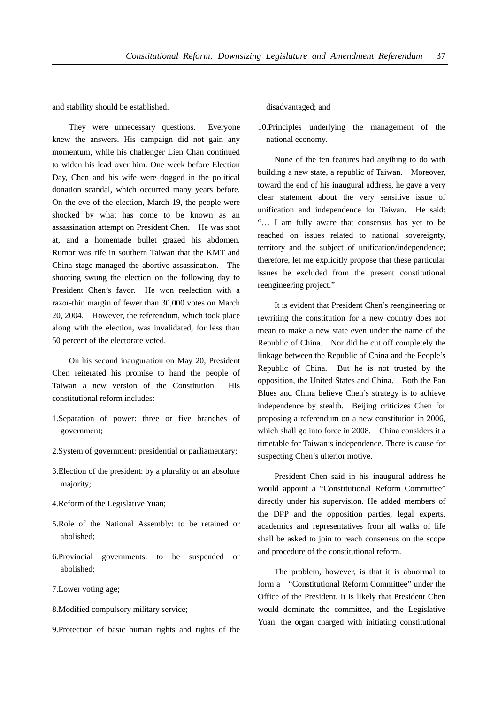and stability should be established.

They were unnecessary questions. Everyone knew the answers. His campaign did not gain any momentum, while his challenger Lien Chan continued to widen his lead over him. One week before Election Day, Chen and his wife were dogged in the political donation scandal, which occurred many years before. On the eve of the election, March 19, the people were shocked by what has come to be known as an assassination attempt on President Chen. He was shot at, and a homemade bullet grazed his abdomen. Rumor was rife in southern Taiwan that the KMT and China stage-managed the abortive assassination. The shooting swung the election on the following day to President Chen's favor. He won reelection with a razor-thin margin of fewer than 30,000 votes on March 20, 2004. However, the referendum, which took place along with the election, was invalidated, for less than 50 percent of the electorate voted.

On his second inauguration on May 20, President Chen reiterated his promise to hand the people of Taiwan a new version of the Constitution. His constitutional reform includes:

- 1.Separation of power: three or five branches of government;
- 2.System of government: presidential or parliamentary;
- 3.Election of the president: by a plurality or an absolute majority;
- 4.Reform of the Legislative Yuan;
- 5.Role of the National Assembly: to be retained or abolished;
- 6.Provincial governments: to be suspended or abolished;
- 7.Lower voting age;
- 8.Modified compulsory military service;
- 9.Protection of basic human rights and rights of the

#### disadvantaged; and

10.Principles underlying the management of the national economy.

None of the ten features had anything to do with building a new state, a republic of Taiwan. Moreover, toward the end of his inaugural address, he gave a very clear statement about the very sensitive issue of unification and independence for Taiwan. He said: "… I am fully aware that consensus has yet to be reached on issues related to national sovereignty, territory and the subject of unification/independence; therefore, let me explicitly propose that these particular issues be excluded from the present constitutional reengineering project."

It is evident that President Chen's reengineering or rewriting the constitution for a new country does not mean to make a new state even under the name of the Republic of China. Nor did he cut off completely the linkage between the Republic of China and the People's Republic of China. But he is not trusted by the opposition, the United States and China. Both the Pan Blues and China believe Chen's strategy is to achieve independence by stealth. Beijing criticizes Chen for proposing a referendum on a new constitution in 2006, which shall go into force in 2008. China considers it a timetable for Taiwan's independence. There is cause for suspecting Chen's ulterior motive.

President Chen said in his inaugural address he would appoint a "Constitutional Reform Committee" directly under his supervision. He added members of the DPP and the opposition parties, legal experts, academics and representatives from all walks of life shall be asked to join to reach consensus on the scope and procedure of the constitutional reform.

The problem, however, is that it is abnormal to form a "Constitutional Reform Committee" under the Office of the President. It is likely that President Chen would dominate the committee, and the Legislative Yuan, the organ charged with initiating constitutional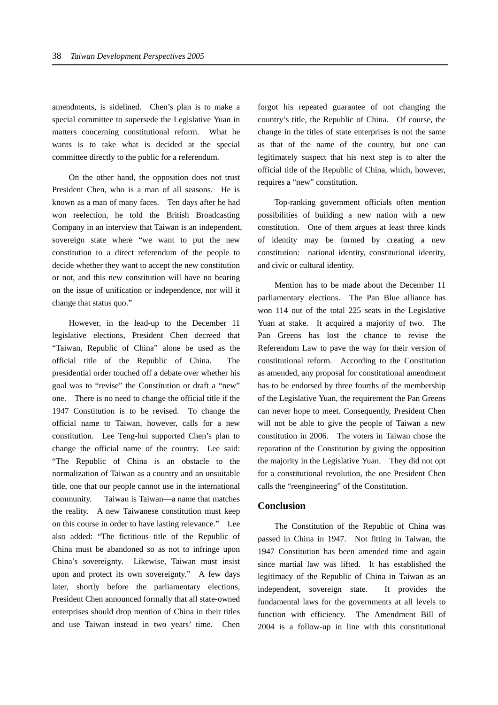amendments, is sidelined. Chen's plan is to make a special committee to supersede the Legislative Yuan in matters concerning constitutional reform. What he wants is to take what is decided at the special committee directly to the public for a referendum.

On the other hand, the opposition does not trust President Chen, who is a man of all seasons. He is known as a man of many faces. Ten days after he had won reelection, he told the British Broadcasting Company in an interview that Taiwan is an independent, sovereign state where "we want to put the new constitution to a direct referendum of the people to decide whether they want to accept the new constitution or not, and this new constitution will have no bearing on the issue of unification or independence, nor will it change that status quo."

However, in the lead-up to the December 11 legislative elections, President Chen decreed that "Taiwan, Republic of China" alone be used as the official title of the Republic of China. The presidential order touched off a debate over whether his goal was to "revise" the Constitution or draft a "new" one. There is no need to change the official title if the 1947 Constitution is to be revised. To change the official name to Taiwan, however, calls for a new constitution. Lee Teng-hui supported Chen's plan to change the official name of the country. Lee said: "The Republic of China is an obstacle to the normalization of Taiwan as a country and an unsuitable title, one that our people cannot use in the international community. Taiwan is Taiwan—a name that matches the reality. A new Taiwanese constitution must keep on this course in order to have lasting relevance." Lee also added: "The fictitious title of the Republic of China must be abandoned so as not to infringe upon China's sovereignty. Likewise, Taiwan must insist upon and protect its own sovereignty." A few days later, shortly before the parliamentary elections, President Chen announced formally that all state-owned enterprises should drop mention of China in their titles and use Taiwan instead in two years' time. Chen

forgot his repeated guarantee of not changing the country's title, the Republic of China. Of course, the change in the titles of state enterprises is not the same as that of the name of the country, but one can legitimately suspect that his next step is to alter the official title of the Republic of China, which, however, requires a "new" constitution.

Top-ranking government officials often mention possibilities of building a new nation with a new constitution. One of them argues at least three kinds of identity may be formed by creating a new constitution: national identity, constitutional identity, and civic or cultural identity.

Mention has to be made about the December 11 parliamentary elections. The Pan Blue alliance has won 114 out of the total 225 seats in the Legislative Yuan at stake. It acquired a majority of two. The Pan Greens has lost the chance to revise the Referendum Law to pave the way for their version of constitutional reform. According to the Constitution as amended, any proposal for constitutional amendment has to be endorsed by three fourths of the membership of the Legislative Yuan, the requirement the Pan Greens can never hope to meet. Consequently, President Chen will not be able to give the people of Taiwan a new constitution in 2006. The voters in Taiwan chose the reparation of the Constitution by giving the opposition the majority in the Legislative Yuan. They did not opt for a constitutional revolution, the one President Chen calls the "reengineering" of the Constitution.

#### **Conclusion**

The Constitution of the Republic of China was passed in China in 1947. Not fitting in Taiwan, the 1947 Constitution has been amended time and again since martial law was lifted. It has established the legitimacy of the Republic of China in Taiwan as an independent, sovereign state. It provides the fundamental laws for the governments at all levels to function with efficiency. The Amendment Bill of 2004 is a follow-up in line with this constitutional